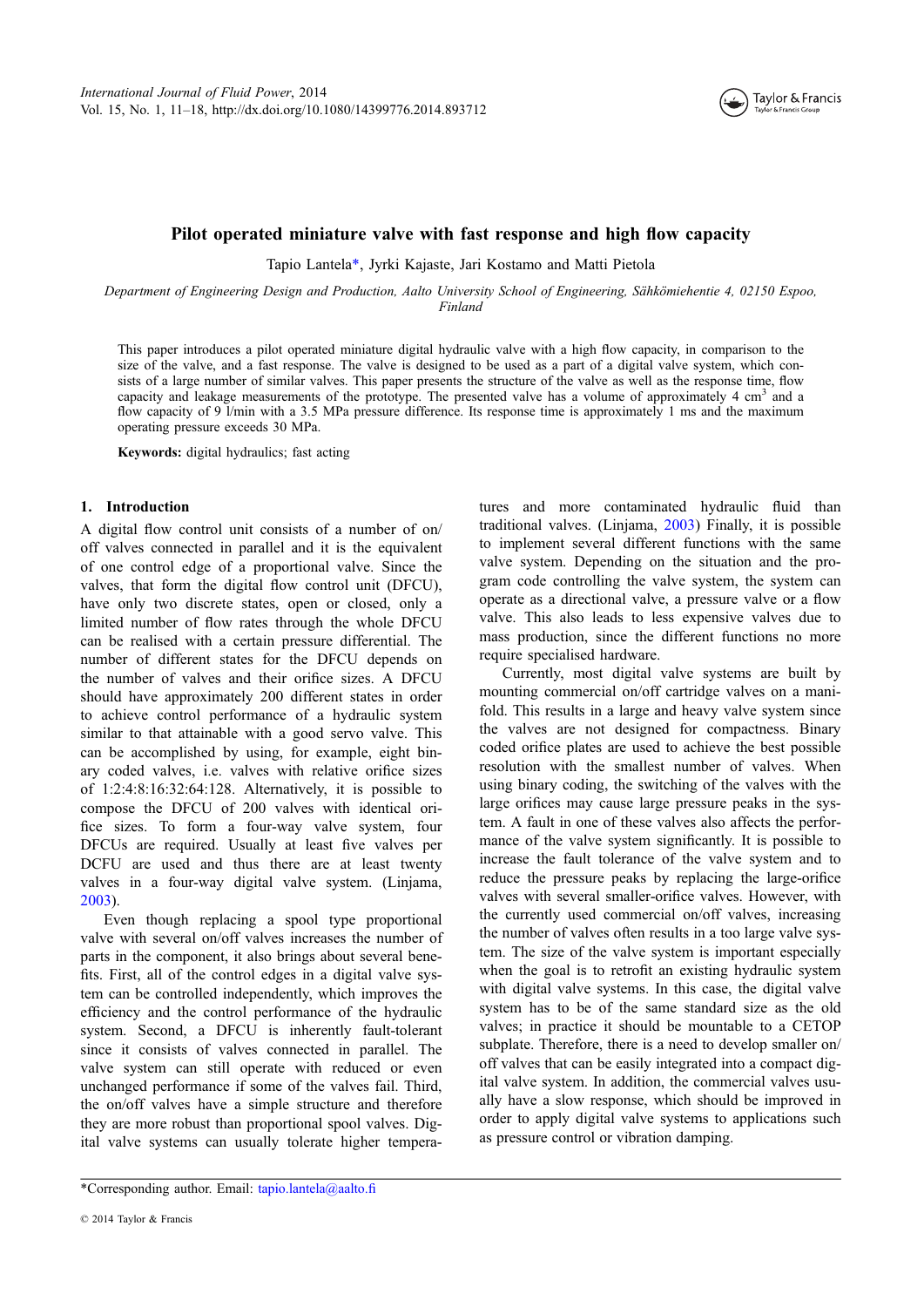

# Pilot operated miniature valve with fast response and high flow capacity

Tapio Lantela\*, Jyrki Kajaste, Jari Kostamo and Matti Pietola

Department of Engineering Design and Production, Aalto University School of Engineering, Sähkömiehentie 4, 02150 Espoo, Finland

This paper introduces a pilot operated miniature digital hydraulic valve with a high flow capacity, in comparison to the size of the valve, and a fast response. The valve is designed to be used as a part of a digital valve system, which consists of a large number of similar valves. This paper presents the structure of the valve as well as the response time, flow capacity and leakage measurements of the prototype. The presented valve has a volume of approximately  $4 \text{ cm}^3$  and a flow capacity of 9 l/min with a 3.5 MPa pressure difference. Its response time is approximately 1 ms and the maximum operating pressure exceeds 30 MPa.

Keywords: digital hydraulics; fast acting

# 1. Introduction

A digital flow control unit consists of a number of on/ off valves connected in parallel and it is the equivalent of one control edge of a proportional valve. Since the valves, that form the digital flow control unit (DFCU), have only two discrete states, open or closed, only a limited number of flow rates through the whole DFCU can be realised with a certain pressure differential. The number of different states for the DFCU depends on the number of valves and their orifice sizes. A DFCU should have approximately 200 different states in order to achieve control performance of a hydraulic system similar to that attainable with a good servo valve. This can be accomplished by using, for example, eight binary coded valves, i.e. valves with relative orifice sizes of 1:2:4:8:16:32:64:128. Alternatively, it is possible to compose the DFCU of 200 valves with identical orifice sizes. To form a four-way valve system, four DFCUs are required. Usually at least five valves per DCFU are used and thus there are at least twenty valves in a four-way digital valve system. (Linjama, [2003\)](#page-7-0).

Even though replacing a spool type proportional valve with several on/off valves increases the number of parts in the component, it also brings about several benefits. First, all of the control edges in a digital valve system can be controlled independently, which improves the efficiency and the control performance of the hydraulic system. Second, a DFCU is inherently fault-tolerant since it consists of valves connected in parallel. The valve system can still operate with reduced or even unchanged performance if some of the valves fail. Third, the on/off valves have a simple structure and therefore they are more robust than proportional spool valves. Digital valve systems can usually tolerate higher tempera-

\*Corresponding author. Email: [tapio.lantela@aalto.](mailto:tapio.lantela@aalto.fi)fi

tures and more contaminated hydraulic fluid than traditional valves. (Linjama, [2003](#page-7-0)) Finally, it is possible to implement several different functions with the same valve system. Depending on the situation and the program code controlling the valve system, the system can operate as a directional valve, a pressure valve or a flow valve. This also leads to less expensive valves due to mass production, since the different functions no more require specialised hardware.

Currently, most digital valve systems are built by mounting commercial on/off cartridge valves on a manifold. This results in a large and heavy valve system since the valves are not designed for compactness. Binary coded orifice plates are used to achieve the best possible resolution with the smallest number of valves. When using binary coding, the switching of the valves with the large orifices may cause large pressure peaks in the system. A fault in one of these valves also affects the performance of the valve system significantly. It is possible to increase the fault tolerance of the valve system and to reduce the pressure peaks by replacing the large-orifice valves with several smaller-orifice valves. However, with the currently used commercial on/off valves, increasing the number of valves often results in a too large valve system. The size of the valve system is important especially when the goal is to retrofit an existing hydraulic system with digital valve systems. In this case, the digital valve system has to be of the same standard size as the old valves; in practice it should be mountable to a CETOP subplate. Therefore, there is a need to develop smaller on/ off valves that can be easily integrated into a compact digital valve system. In addition, the commercial valves usually have a slow response, which should be improved in order to apply digital valve systems to applications such as pressure control or vibration damping.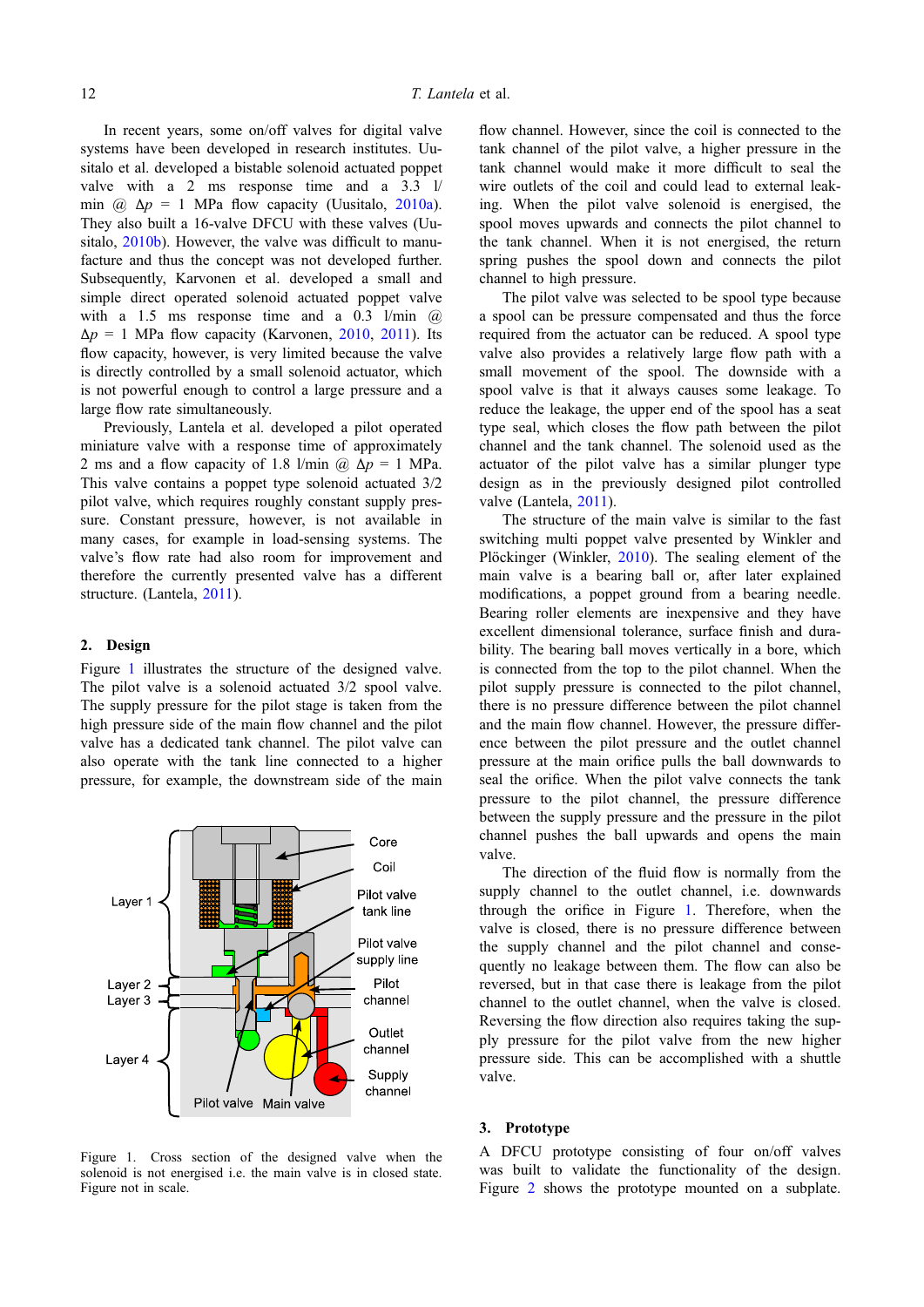<span id="page-1-0"></span>In recent years, some on/off valves for digital valve systems have been developed in research institutes. Uusitalo et al. developed a bistable solenoid actuated poppet valve with a 2 ms response time and a 3.3 l/ min  $\omega$   $\Delta p = 1$  MPa flow capacity (Uusitalo, [2010a](#page-7-0)). They also built a 16-valve DFCU with these valves (Uusitalo, [2010b](#page-7-0)). However, the valve was difficult to manufacture and thus the concept was not developed further. Subsequently, Karvonen et al. developed a small and simple direct operated solenoid actuated poppet valve with a 1.5 ms response time and a 0.3  $1/\text{min}$  (*a*)  $\Delta p = 1$  MPa flow capacity (Karvonen, [2010,](#page-7-0) [2011](#page-7-0)). Its flow capacity, however, is very limited because the valve is directly controlled by a small solenoid actuator, which is not powerful enough to control a large pressure and a large flow rate simultaneously.

Previously, Lantela et al. developed a pilot operated miniature valve with a response time of approximately 2 ms and a flow capacity of 1.8 l/min  $\omega$   $\Delta p = 1$  MPa. This valve contains a poppet type solenoid actuated 3/2 pilot valve, which requires roughly constant supply pressure. Constant pressure, however, is not available in many cases, for example in load-sensing systems. The valve's flow rate had also room for improvement and therefore the currently presented valve has a different structure. (Lantela, [2011](#page-7-0)).

### 2. Design

Figure 1 illustrates the structure of the designed valve. The pilot valve is a solenoid actuated 3/2 spool valve. The supply pressure for the pilot stage is taken from the high pressure side of the main flow channel and the pilot valve has a dedicated tank channel. The pilot valve can also operate with the tank line connected to a higher pressure, for example, the downstream side of the main



Figure 1. Cross section of the designed valve when the solenoid is not energised i.e. the main valve is in closed state. Figure not in scale.

flow channel. However, since the coil is connected to the tank channel of the pilot valve, a higher pressure in the tank channel would make it more difficult to seal the wire outlets of the coil and could lead to external leaking. When the pilot valve solenoid is energised, the spool moves upwards and connects the pilot channel to the tank channel. When it is not energised, the return spring pushes the spool down and connects the pilot channel to high pressure.

The pilot valve was selected to be spool type because a spool can be pressure compensated and thus the force required from the actuator can be reduced. A spool type valve also provides a relatively large flow path with a small movement of the spool. The downside with a spool valve is that it always causes some leakage. To reduce the leakage, the upper end of the spool has a seat type seal, which closes the flow path between the pilot channel and the tank channel. The solenoid used as the actuator of the pilot valve has a similar plunger type design as in the previously designed pilot controlled valve (Lantela, [2011\)](#page-7-0).

The structure of the main valve is similar to the fast switching multi poppet valve presented by Winkler and Plöckinger (Winkler, [2010](#page-7-0)). The sealing element of the main valve is a bearing ball or, after later explained modifications, a poppet ground from a bearing needle. Bearing roller elements are inexpensive and they have excellent dimensional tolerance, surface finish and durability. The bearing ball moves vertically in a bore, which is connected from the top to the pilot channel. When the pilot supply pressure is connected to the pilot channel, there is no pressure difference between the pilot channel and the main flow channel. However, the pressure difference between the pilot pressure and the outlet channel pressure at the main orifice pulls the ball downwards to seal the orifice. When the pilot valve connects the tank pressure to the pilot channel, the pressure difference between the supply pressure and the pressure in the pilot channel pushes the ball upwards and opens the main valve.

The direction of the fluid flow is normally from the supply channel to the outlet channel, i.e. downwards through the orifice in Figure 1. Therefore, when the valve is closed, there is no pressure difference between the supply channel and the pilot channel and consequently no leakage between them. The flow can also be reversed, but in that case there is leakage from the pilot channel to the outlet channel, when the valve is closed. Reversing the flow direction also requires taking the supply pressure for the pilot valve from the new higher pressure side. This can be accomplished with a shuttle valve.

### 3. Prototype

A DFCU prototype consisting of four on/off valves was built to validate the functionality of the design. Figure [2](#page-2-0) shows the prototype mounted on a subplate.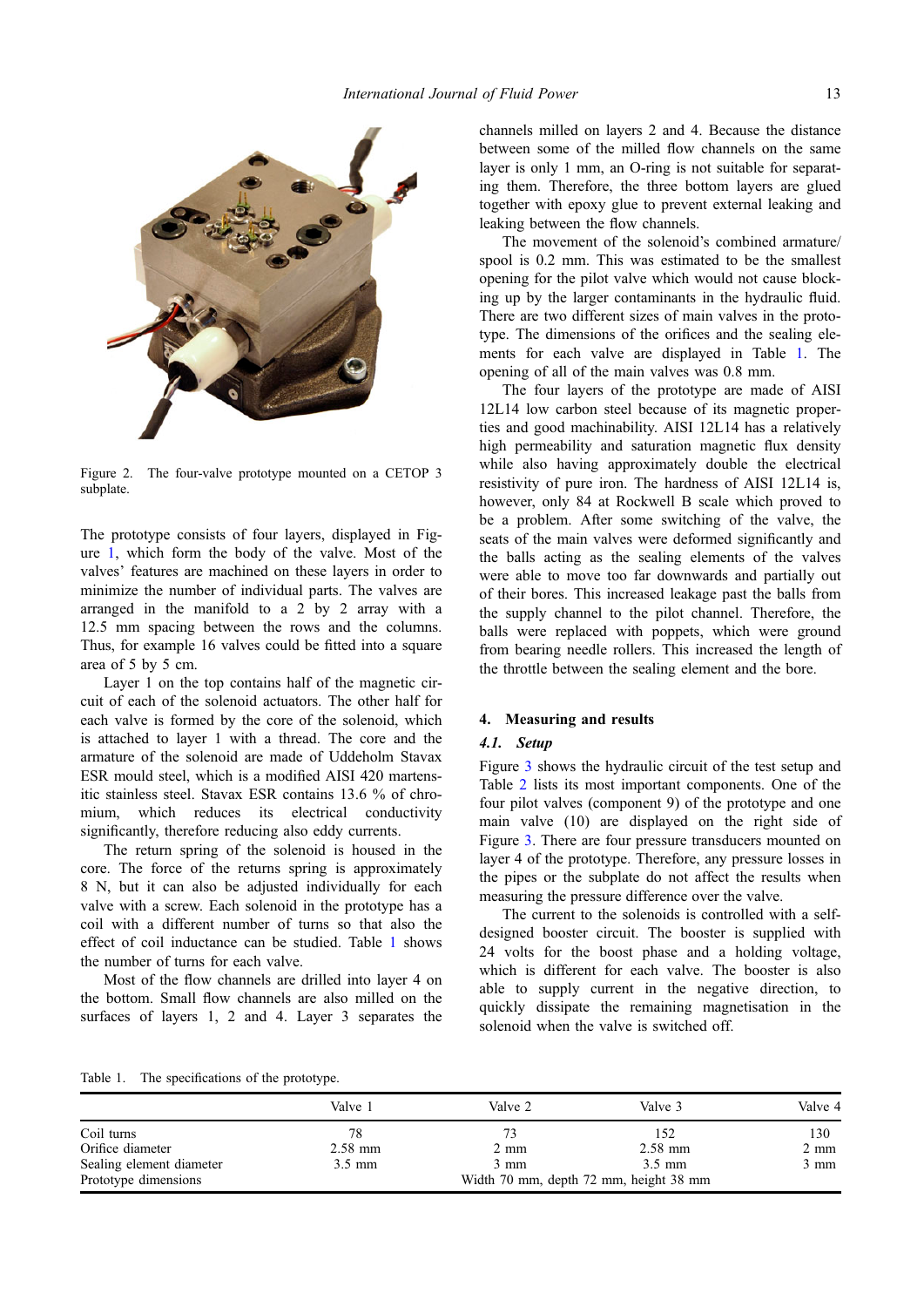<span id="page-2-0"></span>

Figure 2. The four-valve prototype mounted on a CETOP 3 subplate.

The prototype consists of four layers, displayed in Figure [1](#page-1-0), which form the body of the valve. Most of the valves' features are machined on these layers in order to minimize the number of individual parts. The valves are arranged in the manifold to a 2 by 2 array with a 12.5 mm spacing between the rows and the columns. Thus, for example 16 valves could be fitted into a square area of 5 by 5 cm.

Layer 1 on the top contains half of the magnetic circuit of each of the solenoid actuators. The other half for each valve is formed by the core of the solenoid, which is attached to layer 1 with a thread. The core and the armature of the solenoid are made of Uddeholm Stavax ESR mould steel, which is a modified AISI 420 martensitic stainless steel. Stavax ESR contains 13.6 % of chromium, which reduces its electrical conductivity significantly, therefore reducing also eddy currents.

The return spring of the solenoid is housed in the core. The force of the returns spring is approximately 8 N, but it can also be adjusted individually for each valve with a screw. Each solenoid in the prototype has a coil with a different number of turns so that also the effect of coil inductance can be studied. Table 1 shows the number of turns for each valve.

Most of the flow channels are drilled into layer 4 on the bottom. Small flow channels are also milled on the surfaces of layers 1, 2 and 4. Layer 3 separates the channels milled on layers 2 and 4. Because the distance between some of the milled flow channels on the same layer is only 1 mm, an O-ring is not suitable for separating them. Therefore, the three bottom layers are glued together with epoxy glue to prevent external leaking and leaking between the flow channels.

The movement of the solenoid's combined armature/ spool is 0.2 mm. This was estimated to be the smallest opening for the pilot valve which would not cause blocking up by the larger contaminants in the hydraulic fluid. There are two different sizes of main valves in the prototype. The dimensions of the orifices and the sealing elements for each valve are displayed in Table 1. The opening of all of the main valves was 0.8 mm.

The four layers of the prototype are made of AISI 12L14 low carbon steel because of its magnetic properties and good machinability. AISI 12L14 has a relatively high permeability and saturation magnetic flux density while also having approximately double the electrical resistivity of pure iron. The hardness of AISI 12L14 is, however, only 84 at Rockwell B scale which proved to be a problem. After some switching of the valve, the seats of the main valves were deformed significantly and the balls acting as the sealing elements of the valves were able to move too far downwards and partially out of their bores. This increased leakage past the balls from the supply channel to the pilot channel. Therefore, the balls were replaced with poppets, which were ground from bearing needle rollers. This increased the length of the throttle between the sealing element and the bore.

# 4. Measuring and results

Figure  $\frac{3}{3}$  $\frac{3}{3}$  $\frac{3}{3}$  shows the hydraulic circuit of the test setup and Table [2](#page-3-0) lists its most important components. One of the four pilot valves (component 9) of the prototype and one main valve (10) are displayed on the right side of Figure [3.](#page-3-0) There are four pressure transducers mounted on layer 4 of the prototype. Therefore, any pressure losses in the pipes or the subplate do not affect the results when measuring the pressure difference over the valve.

The current to the solenoids is controlled with a selfdesigned booster circuit. The booster is supplied with 24 volts for the boost phase and a holding voltage, which is different for each valve. The booster is also able to supply current in the negative direction, to quickly dissipate the remaining magnetisation in the solenoid when the valve is switched off.

Table 1. The specifications of the prototype.

|                          | Valve 1                                | Valve 2        | Valve 3          | Valve 4        |  |
|--------------------------|----------------------------------------|----------------|------------------|----------------|--|
| Coil turns               | 78                                     | 73             | 152              | 130            |  |
| Orifice diameter         | 2.58 mm                                | $2 \text{ mm}$ | $2.58$ mm        | $2 \text{ mm}$ |  |
| Sealing element diameter | $3.5 \text{ mm}$                       | $3 \text{ mm}$ | $3.5 \text{ mm}$ | $3 \text{ mm}$ |  |
| Prototype dimensions     | Width 70 mm, depth 72 mm, height 38 mm |                |                  |                |  |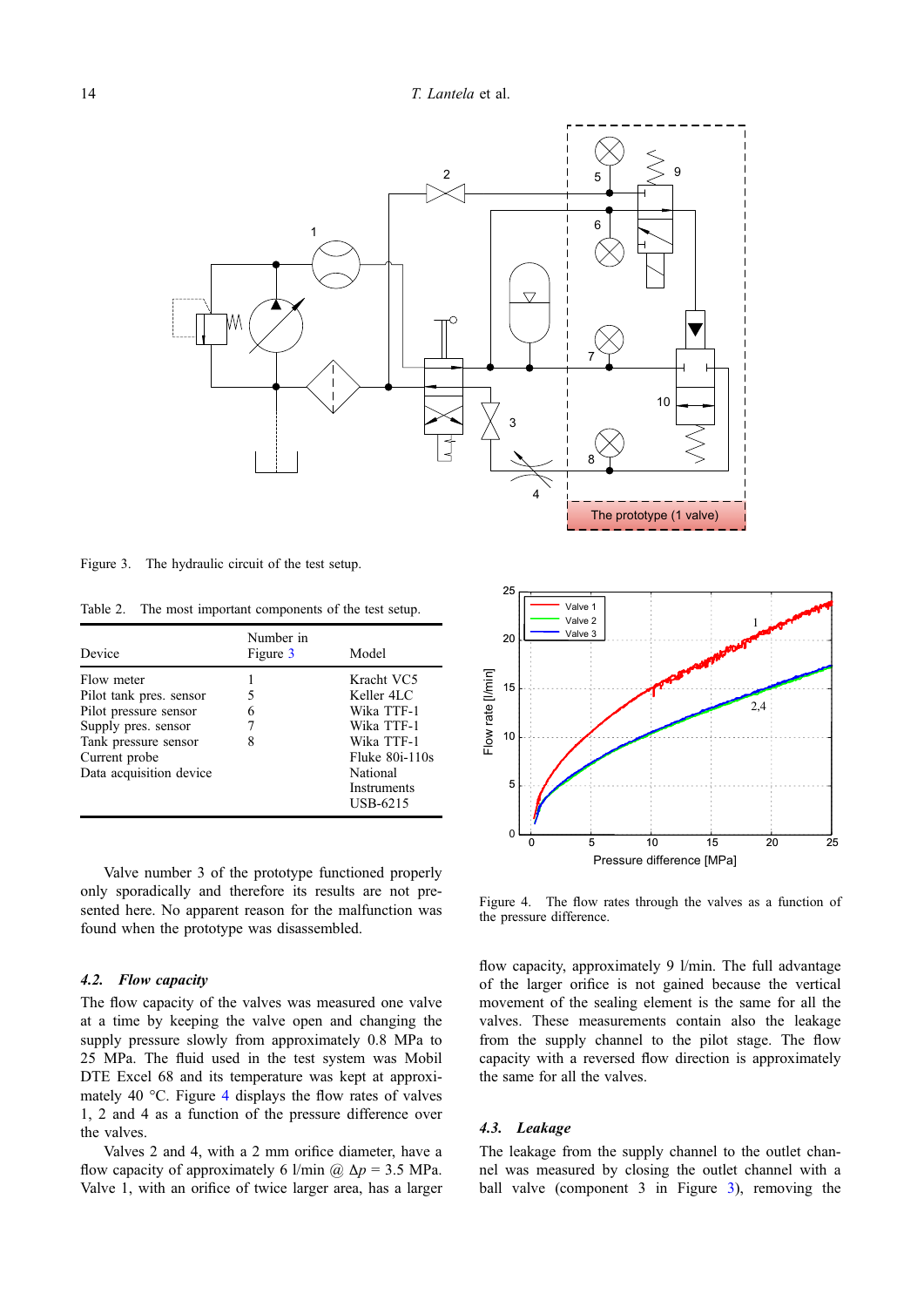<span id="page-3-0"></span>

Figure 3. The hydraulic circuit of the test setup.

Table 2. The most important components of the test setup.

| Device                                                                                                                                                    | Number in<br>Figure 3 | Model                                                                                              |
|-----------------------------------------------------------------------------------------------------------------------------------------------------------|-----------------------|----------------------------------------------------------------------------------------------------|
| Flow meter<br>Pilot tank pres. sensor<br>Pilot pressure sensor<br>Supply pres. sensor<br>Tank pressure sensor<br>Current probe<br>Data acquisition device | 6                     | Kracht VC5<br>Keller 4LC<br>Wika TTF-1<br>Wika TTF-1<br>Wika TTF-1<br>Fluke $80i-110s$<br>National |
|                                                                                                                                                           |                       | <b>Instruments</b><br>USB-6215                                                                     |

Valve number 3 of the prototype functioned properly only sporadically and therefore its results are not presented here. No apparent reason for the malfunction was found when the prototype was disassembled.

The flow capacity of the valves was measured one valve at a time by keeping the valve open and changing the supply pressure slowly from approximately 0.8 MPa to 25 MPa. The fluid used in the test system was Mobil DTE Excel 68 and its temperature was kept at approximately 40 °C. Figure 4 displays the flow rates of valves 1, 2 and 4 as a function of the pressure difference over the valves.

Valves 2 and 4, with a 2 mm orifice diameter, have a flow capacity of approximately 6 l/min @  $\Delta p = 3.5$  MPa. Valve 1, with an orifice of twice larger area, has a larger



Figure 4. The flow rates through the valves as a function of the pressure difference.

flow capacity, approximately 9 l/min. The full advantage of the larger orifice is not gained because the vertical movement of the sealing element is the same for all the valves. These measurements contain also the leakage from the supply channel to the pilot stage. The flow capacity with a reversed flow direction is approximately the same for all the valves.

The leakage from the supply channel to the outlet channel was measured by closing the outlet channel with a ball valve (component 3 in Figure 3), removing the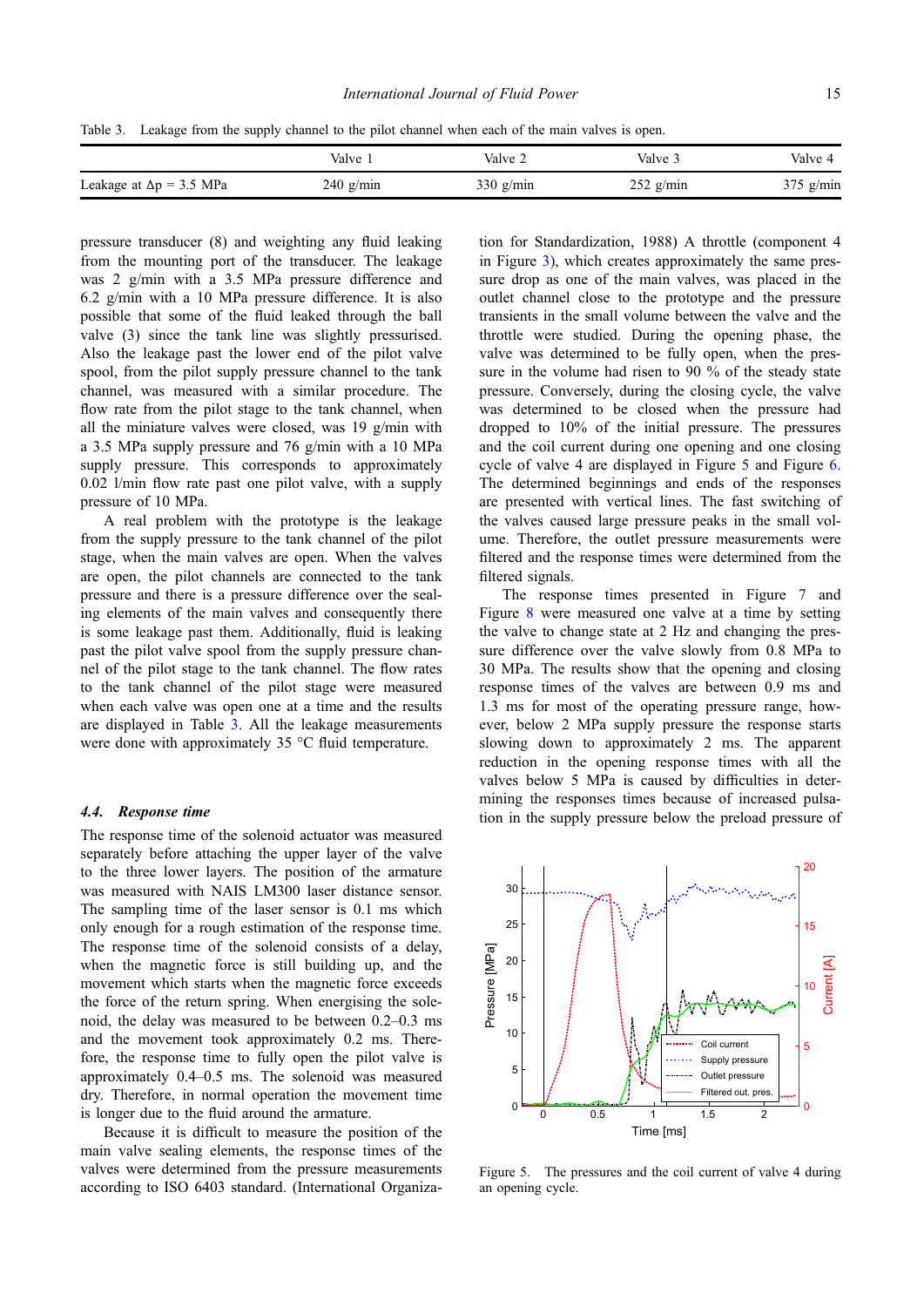Table 3. Leakage from the supply channel to the pilot channel when each of the main valves is open.

|                                 | Valve 1     | Valve 2                           | Valve 3     | Valve 4     |
|---------------------------------|-------------|-----------------------------------|-------------|-------------|
| Leakage at $\Delta p = 3.5$ MPa | $240$ g/min | $330 \frac{\text{g}}{\text{min}}$ | $252$ g/min | $375$ g/min |

pressure transducer (8) and weighting any fluid leaking from the mounting port of the transducer. The leakage was 2 g/min with a 3.5 MPa pressure difference and 6.2 g/min with a 10 MPa pressure difference. It is also possible that some of the fluid leaked through the ball valve (3) since the tank line was slightly pressurised. Also the leakage past the lower end of the pilot valve spool, from the pilot supply pressure channel to the tank channel, was measured with a similar procedure. The flow rate from the pilot stage to the tank channel, when all the miniature valves were closed, was 19 g/min with a 3.5 MPa supply pressure and 76 g/min with a 10 MPa supply pressure. This corresponds to approximately 0.02 l/min flow rate past one pilot valve, with a supply pressure of 10 MPa.

A real problem with the prototype is the leakage from the supply pressure to the tank channel of the pilot stage, when the main valves are open. When the valves are open, the pilot channels are connected to the tank pressure and there is a pressure difference over the sealing elements of the main valves and consequently there is some leakage past them. Additionally, fluid is leaking past the pilot valve spool from the supply pressure channel of the pilot stage to the tank channel. The flow rates to the tank channel of the pilot stage were measured when each valve was open one at a time and the results are displayed in Table 3. All the leakage measurements were done with approximately 35 °C fluid temperature.

The response time of the solenoid actuator was measured separately before attaching the upper layer of the valve to the three lower layers. The position of the armature was measured with NAIS LM300 laser distance sensor. The sampling time of the laser sensor is 0.1 ms which only enough for a rough estimation of the response time. The response time of the solenoid consists of a delay, when the magnetic force is still building up, and the movement which starts when the magnetic force exceeds the force of the return spring. When energising the solenoid, the delay was measured to be between 0.2–0.3 ms and the movement took approximately 0.2 ms. Therefore, the response time to fully open the pilot valve is approximately 0.4–0.5 ms. The solenoid was measured dry. Therefore, in normal operation the movement time is longer due to the fluid around the armature.

Because it is difficult to measure the position of the main valve sealing elements, the response times of the valves were determined from the pressure measurements according to ISO 6403 standard. (International Organiza-

tion for Standardization, 1988) A throttle (component 4 in Figure [3\)](#page-3-0), which creates approximately the same pressure drop as one of the main valves, was placed in the outlet channel close to the prototype and the pressure transients in the small volume between the valve and the throttle were studied. During the opening phase, the valve was determined to be fully open, when the pressure in the volume had risen to 90 % of the steady state pressure. Conversely, during the closing cycle, the valve was determined to be closed when the pressure had dropped to 10% of the initial pressure. The pressures and the coil current during one opening and one closing cycle of valve 4 are displayed in Figure 5 and Figure [6.](#page-5-0) The determined beginnings and ends of the responses are presented with vertical lines. The fast switching of the valves caused large pressure peaks in the small volume. Therefore, the outlet pressure measurements were filtered and the response times were determined from the filtered signals.

The response times presented in Figure [7](#page-5-0) and Figure [8](#page-5-0) were measured one valve at a time by setting the valve to change state at 2 Hz and changing the pressure difference over the valve slowly from 0.8 MPa to 30 MPa. The results show that the opening and closing response times of the valves are between 0.9 ms and 1.3 ms for most of the operating pressure range, however, below 2 MPa supply pressure the response starts slowing down to approximately 2 ms. The apparent reduction in the opening response times with all the valves below 5 MPa is caused by difficulties in determining the responses times because of increased pulsation in the supply pressure below the preload pressure of



Figure 5. The pressures and the coil current of valve 4 during an opening cycle.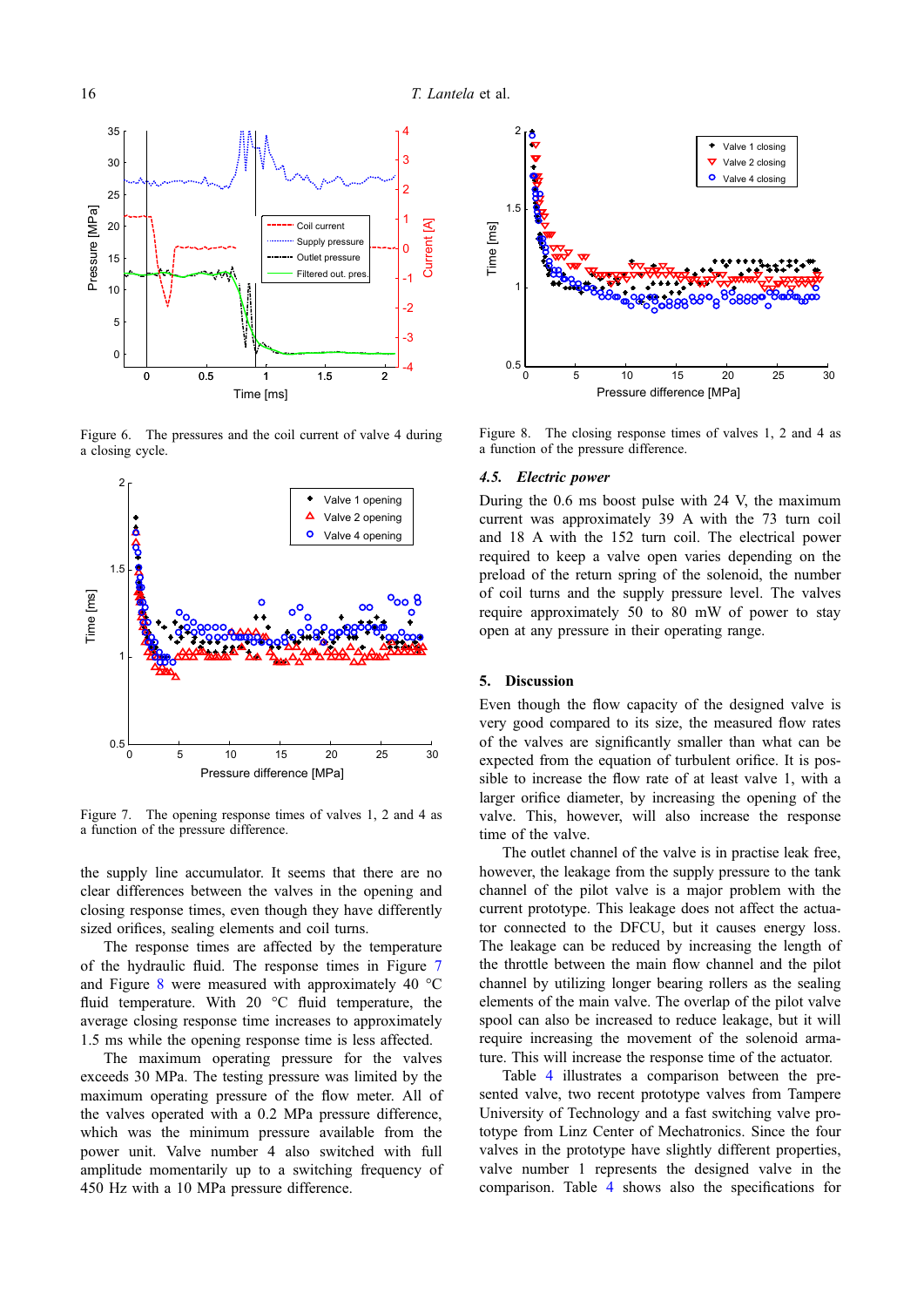<span id="page-5-0"></span>16 T. Lantela et al.



Figure 6. The pressures and the coil current of valve 4 during a closing cycle.



Figure 7. The opening response times of valves 1, 2 and 4 as a function of the pressure difference.

the supply line accumulator. It seems that there are no clear differences between the valves in the opening and closing response times, even though they have differently sized orifices, sealing elements and coil turns.

The response times are affected by the temperature of the hydraulic fluid. The response times in Figure 7 and Figure 8 were measured with approximately 40 °C fluid temperature. With 20 $\degree$ C fluid temperature, the average closing response time increases to approximately 1.5 ms while the opening response time is less affected.

The maximum operating pressure for the valves exceeds 30 MPa. The testing pressure was limited by the maximum operating pressure of the flow meter. All of the valves operated with a 0.2 MPa pressure difference, which was the minimum pressure available from the power unit. Valve number 4 also switched with full amplitude momentarily up to a switching frequency of 450 Hz with a 10 MPa pressure difference.



Figure 8. The closing response times of valves 1, 2 and 4 as a function of the pressure difference.

During the  $0.6$  ms boost pulse with 24 V, the maximum current was approximately 39 A with the 73 turn coil and 18 A with the 152 turn coil. The electrical power required to keep a valve open varies depending on the preload of the return spring of the solenoid, the number of coil turns and the supply pressure level. The valves require approximately 50 to 80 mW of power to stay open at any pressure in their operating range.

### 5. Discussion

Even though the flow capacity of the designed valve is very good compared to its size, the measured flow rates of the valves are significantly smaller than what can be expected from the equation of turbulent orifice. It is possible to increase the flow rate of at least valve 1, with a larger orifice diameter, by increasing the opening of the valve. This, however, will also increase the response time of the valve.

The outlet channel of the valve is in practise leak free, however, the leakage from the supply pressure to the tank channel of the pilot valve is a major problem with the current prototype. This leakage does not affect the actuator connected to the DFCU, but it causes energy loss. The leakage can be reduced by increasing the length of the throttle between the main flow channel and the pilot channel by utilizing longer bearing rollers as the sealing elements of the main valve. The overlap of the pilot valve spool can also be increased to reduce leakage, but it will require increasing the movement of the solenoid armature. This will increase the response time of the actuator.

Table [4](#page-6-0) illustrates a comparison between the presented valve, two recent prototype valves from Tampere University of Technology and a fast switching valve prototype from Linz Center of Mechatronics. Since the four valves in the prototype have slightly different properties, valve number 1 represents the designed valve in the comparison. Table [4](#page-6-0) shows also the specifications for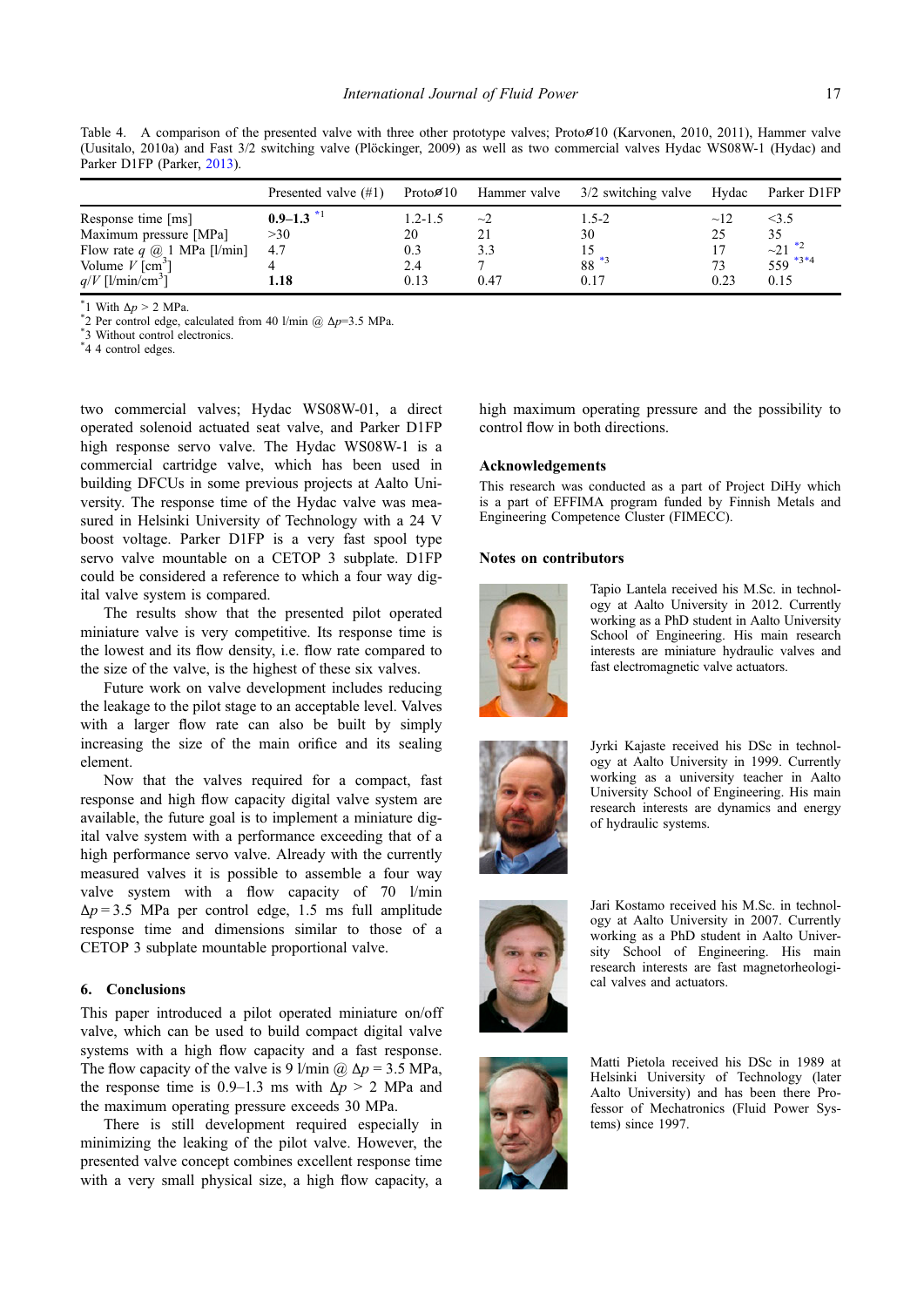<span id="page-6-0"></span>Table 4. A comparison of the presented valve with three other prototype valves; Proto∅10 (Karvonen, 2010, 2011), Hammer valve (Uusitalo, 2010a) and Fast 3/2 switching valve (Plöckinger, 2009) as well as two commercial valves Hydac WS08W-1 (Hydac) and Parker D1FP (Parker, [2013\)](#page-7-0).

|                                    | Presented valve $(\#1)$   |             |          | Proto $\mathscr{A}10$ Hammer valve $3/2$ switching valve | Hvdac     | Parker D1FP |
|------------------------------------|---------------------------|-------------|----------|----------------------------------------------------------|-----------|-------------|
| Response time [ms]                 | $0.9 - 1.3$ <sup>*1</sup> | $1.2 - 1.5$ | $\sim$ 2 | $1.5 - 2$                                                | $\sim$ 12 | $<$ 3.5     |
| Maximum pressure [MPa]             | >30                       | 20          | 21       | 30                                                       | 25        | 35          |
| Flow rate $q \omega$ 1 MPa [l/min] | 4.7                       | 0.3         | 3.3      |                                                          |           | $-21$ *2    |
| Volume $V$ [cm <sup>3</sup> ]      |                           | 2.4         |          | $88*3$                                                   | 73        | 559 $*3*4$  |
| $q/V$ [l/min/cm <sup>3</sup> ]     | l.18                      | 0.13        | 0.47     | 0.17                                                     | 0.23      | 0.15        |

<sup>\*</sup>1 With  $\Delta p > 2$  MPa.<br>\*2 Per control edge of

\*2 Per control edge, calculated from 40 l/min @  $\Delta p=3.5$  MPa.

3 Without control electronics.

\* 4 4 control edges.

two commercial valves; Hydac WS08W-01, a direct operated solenoid actuated seat valve, and Parker D1FP high response servo valve. The Hydac WS08W-1 is a commercial cartridge valve, which has been used in building DFCUs in some previous projects at Aalto University. The response time of the Hydac valve was measured in Helsinki University of Technology with a 24 V boost voltage. Parker D1FP is a very fast spool type servo valve mountable on a CETOP 3 subplate. D1FP could be considered a reference to which a four way digital valve system is compared.

The results show that the presented pilot operated miniature valve is very competitive. Its response time is the lowest and its flow density, i.e. flow rate compared to the size of the valve, is the highest of these six valves.

Future work on valve development includes reducing the leakage to the pilot stage to an acceptable level. Valves with a larger flow rate can also be built by simply increasing the size of the main orifice and its sealing element.

Now that the valves required for a compact, fast response and high flow capacity digital valve system are available, the future goal is to implement a miniature digital valve system with a performance exceeding that of a high performance servo valve. Already with the currently measured valves it is possible to assemble a four way valve system with a flow capacity of 70 l/min  $\Delta p = 3.5$  MPa per control edge, 1.5 ms full amplitude response time and dimensions similar to those of a CETOP 3 subplate mountable proportional valve.

# 6. Conclusions

This paper introduced a pilot operated miniature on/off valve, which can be used to build compact digital valve systems with a high flow capacity and a fast response. The flow capacity of the valve is 9 l/min @  $\Delta p = 3.5$  MPa, the response time is 0.9–1.3 ms with  $\Delta p > 2$  MPa and the maximum operating pressure exceeds 30 MPa.

There is still development required especially in minimizing the leaking of the pilot valve. However, the presented valve concept combines excellent response time with a very small physical size, a high flow capacity, a high maximum operating pressure and the possibility to control flow in both directions.

## Acknowledgements

This research was conducted as a part of Project DiHy which is a part of EFFIMA program funded by Finnish Metals and Engineering Competence Cluster (FIMECC).

### Notes on contributors



Tapio Lantela received his M.Sc. in technology at Aalto University in 2012. Currently working as a PhD student in Aalto University School of Engineering. His main research interests are miniature hydraulic valves and fast electromagnetic valve actuators.



Jyrki Kajaste received his DSc in technology at Aalto University in 1999. Currently working as a university teacher in Aalto University School of Engineering. His main research interests are dynamics and energy of hydraulic systems.



Jari Kostamo received his M.Sc. in technology at Aalto University in 2007. Currently working as a PhD student in Aalto University School of Engineering. His main research interests are fast magnetorheological valves and actuators.



Matti Pietola received his DSc in 1989 at Helsinki University of Technology (later Aalto University) and has been there Professor of Mechatronics (Fluid Power Systems) since 1997.